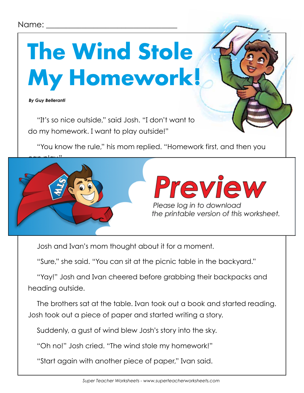

 *By Guy Belleranti*

"It's so nice outside," said Josh. "I don't want to do my homework. I want to play outside!"

"You know the rule," his mom replied. "Homework first, and then you



Josh and Ivan's mom thought about it for a moment.

"Sure," she said. "You can sit at the picnic table in the backyard."

"Yay!" Josh and Ivan cheered before grabbing their backpacks and heading outside.

The brothers sat at the table. Ivan took out a book and started reading. Josh took out a piece of paper and started writing a story.

Suddenly, a gust of wind blew Josh's story into the sky.

"Oh no!" Josh cried. "The wind stole my homework!"

"Start again with another piece of paper," Ivan said.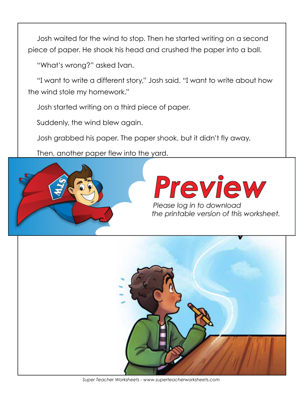Josh waited for the wind to stop. Then he started writing on a second piece of paper. He shook his head and crushed the paper into a ball.

"What's wrong?" asked Ivan.

"I want to write a different story," Josh said. "I want to write about how the wind stole my homework."

Josh started writing on a third piece of paper.

Suddenly, the wind blew again.

Josh grabbed his paper. The paper shook, but it didn't fly away.

Then, another paper flew into the yard.





*Super Teacher Worksheets - www.superteacherworksheets.com*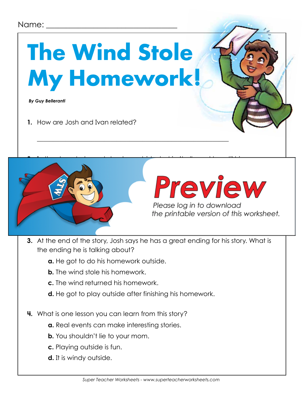## **The Wind Stole My Homework!**

 *By Guy Belleranti*

**1.** How are Josh and Ivan related?



## Preview

Please log in to download the printable version of this worksheet.

- **3.** At the end of the story, Josh says he has a great ending for his story. What is the ending he is talking about?
	- **a.** He got to do his homework outside.
	- **b.** The wind stole his homework.
	- **c.** The wind returned his homework.
	- **d.** He got to play outside after finishing his homework.

\_\_\_\_\_\_\_\_\_\_\_\_\_\_\_\_\_\_\_\_\_\_\_\_\_\_\_\_\_\_\_\_\_\_\_\_\_\_\_\_\_\_\_\_\_\_\_\_\_\_\_\_\_\_\_\_\_\_\_\_

- **4.** What is one lesson you can learn from this story?
	- **a.** Real events can make interesting stories.
	- **b.** You shouldn't lie to your mom.
	- **c.** Playing outside is fun.
	- **d.** It is windy outside.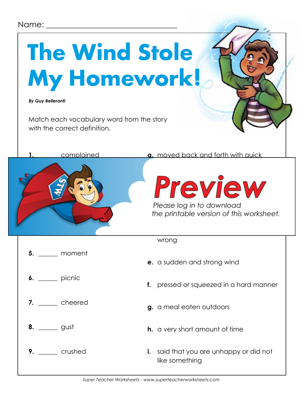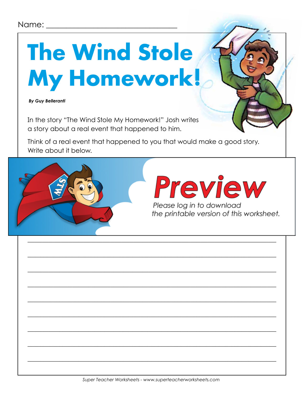## **The Wind Stole** My Homework!

**By Guy Belleranti** 

In the story "The Wind Stole My Homework!" Josh writes a story about a real event that happened to him.

Think of a real event that happened to you that would make a good story. Write about it below.



Please log in to download the printable version of this worksheet.

Preview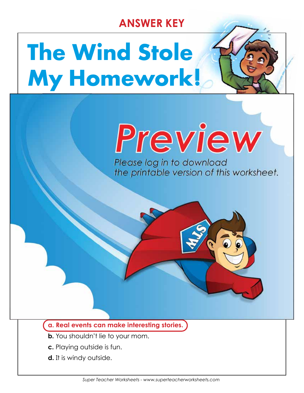## **ANSWER KEY**

## **The Wind Stole My Homework!**

 $\blacksquare$ 

**1.** How are Josh and Ivan related?

**They are brothers.**

**a. compromising**

**b.** arguing

**c.** cheating the second second

**d.** not listening

#### **Please log in to download**  $\frac{1}{2}$  is  $\frac{1}{2}$  is  $\frac{1}{2}$  is  $\frac{1}{2}$  is  $\frac{1}{2}$  is  $\frac{1}{2}$  is  $\frac{1}{2}$  is  $\frac{1}{2}$  is  $\frac{1}{2}$  is  $\frac{1}{2}$  is  $\frac{1}{2}$  is  $\frac{1}{2}$  is  $\frac{1}{2}$  is  $\frac{1}{2}$  is  $\frac{1}{2}$  is  $\frac{1}{2}$  is  $\frac{1}{2}$  is outside. She says the same is the same is the same is the same is the same is the same is the same is the same in the same in the same is the same in the same in the same in the same in the same in the same in the same in

#### **a. Real events can make interesting stories.**

**4.** What is one lesson you can learn from this story?

d. He got to play outside after finishing his homework. The got to play outside after  $\mathcal{H}$ 

- **b.** You shouldn't lie to your mom.
- **c.** Playing outside is fun.

the ending he is talking about?

**b.** The wind stole his homework.

**a.** He got to do his homework outside.

**c. The wind returned his homework.** 

**d.** It is windy outside.

**3.** At the end of the story, Josh says he has a great ending for his story. What is